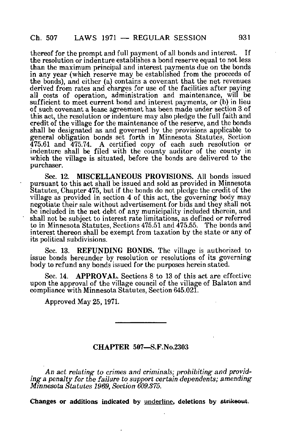thereof for the prompt and full payment of all bonds and interest. If the resolution or indenture establishes a bond reserve equal to not less than the maximum principal and interest payments due on the bonds in any year (which reserve may be established from the proceeds of the bonds), and either (a) contains a covenant that the net revenues derived from rates and charges for use of the facilities after paving all costs of operation, administration and maintenance, will be sufficient to meet current bond and interest payments, or (b) in lieu of such covenant a lease agreement has been made under section 3 of this act, the resolution or indenture may also pledge the full faith and credit of the village for the maintenance of the reserve, and the bonds shall be designated as and governed by the provisions applicable to general obligation bonds set forth in Minnesota Statutes, Section 475.61 and 475.74. A certified copy of each such resolution or indenture shall be filed with the county auditor of the county in which the village is situated, before the bonds are delivered to the purchaser.

Sec. 12. MISCELLANEOUS PROVISIONS. All bonds issued pursuant to this act shall be issued and sold as provided in Minnesota Statutes, Chapter 475, but if the bonds do not pledge the credit of the village as provided in section 4 of this act, the governing body may negotiate their sale without advertisement for bids and they shall not be included in the net debt of any municipality included therein, and shall not be subject to interest rate limitations, as defined or referred to in Minnesota Statutes, Sections 475.51 and 475.55. The bonds and interest thereon shall be exempt from taxation by the state or any of its political subdivisions.

Sec. 13. REFUNDING BONDS. The village is authorized to issue bonds hereunder by resolution or resolutions of its governing body to refund any bonds issued for the purposes herein stated.

Sec. 14. APPROVAL. Sections 8 to 13 of this act are effective upon the approval of the village council of the village of Balaton and compliance with Minnesota Statutes, Section 645.021.

Approved May 25,1971.

## CHAPTER 507—S.F.No.2303

An act relating to crimes and criminals; prohibiting and providing a penalty for the failure to support certain dependents; amending Minnesota Statutes 1969, Section 609.375.

Changes or additions indicated by underline, deletions by strikeout.